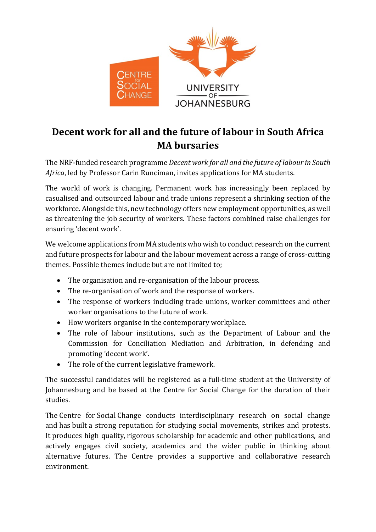

## **Decent work for all and the future of labour in South Africa MA bursaries**

The NRF-funded research programme *Decent work for all and the future of labour in South Africa*, led by Professor Carin Runciman, invites applications for MA students.

The world of work is changing. Permanent work has increasingly been replaced by casualised and outsourced labour and trade unions represent a shrinking section of the workforce. Alongside this, new technology offers new employment opportunities, as well as threatening the job security of workers. These factors combined raise challenges for ensuring 'decent work'.

We welcome applications from MA students who wish to conduct research on the current and future prospects for labour and the labour movement across a range of cross-cutting themes. Possible themes include but are not limited to;

- The organisation and re-organisation of the labour process.
- The re-organisation of work and the response of workers.
- The response of workers including trade unions, worker committees and other worker organisations to the future of work.
- How workers organise in the contemporary workplace.
- The role of labour institutions, such as the Department of Labour and the Commission for Conciliation Mediation and Arbitration, in defending and promoting 'decent work'.
- The role of the current legislative framework.

The successful candidates will be registered as a full-time student at the University of Johannesburg and be based at the Centre for Social Change for the duration of their studies.

The Centre for Social Change conducts interdisciplinary research on social change and has built a strong reputation for studying social movements, strikes and protests. It produces high quality, rigorous scholarship for academic and other publications, and actively engages civil society, academics and the wider public in thinking about alternative futures. The Centre provides a supportive and collaborative research environment.